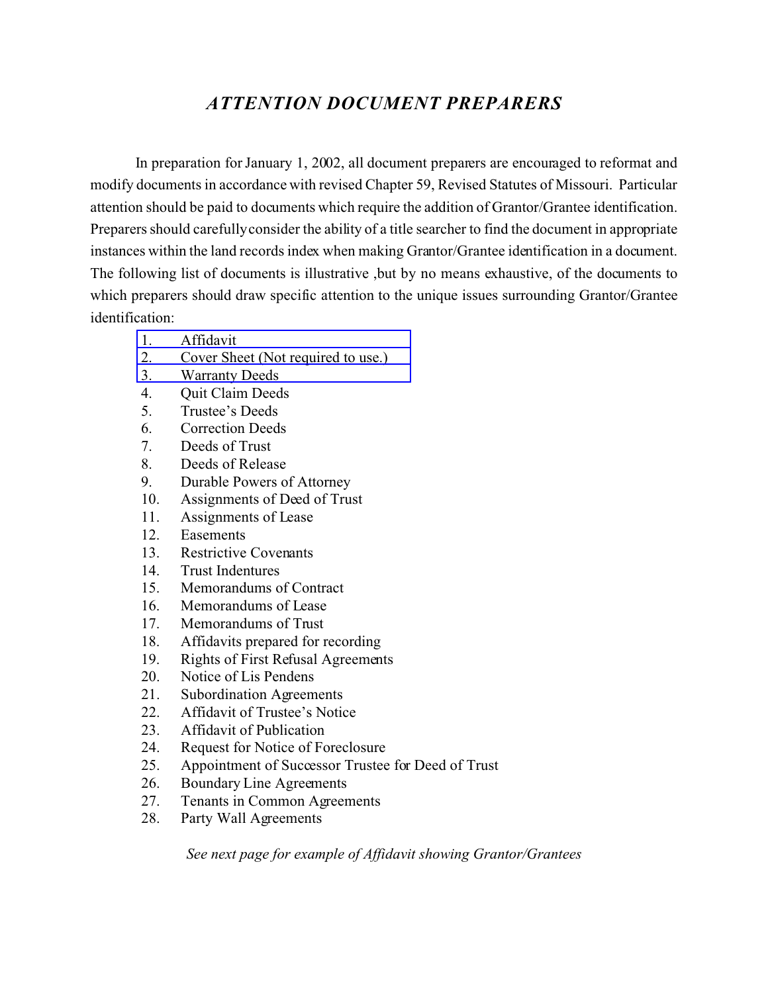# *ATTENTION DOCUMENT PREPARERS*

In preparation for January 1, 2002, all document preparers are encouraged to reformat and modify documents in accordance with revised Chapter 59, Revised Statutes of Missouri. Particular attention should be paid to documents which require the addition of Grantor/Grantee identification. Preparers should carefully consider the ability of a title searcher to find the document in appropriate instances within the land records index when making Grantor/Grantee identification in a document. The following list of documents is illustrative ,but by no means exhaustive, of the documents to which preparers should draw specific attention to the unique issues surrounding Grantor/Grantee identification:

- 1. [Affidavit](#page-1-0)
- 2. [Cover Sheet \(Not required to use.\)](#page-2-0)
- 3. [Warranty Deeds](#page-3-0)
- 4. Quit Claim Deeds
- 5. Trustee's Deeds
- 6. Correction Deeds
- 7. Deeds of Trust
- 8. Deeds of Release
- 9. Durable Powers of Attorney
- 10. Assignments of Deed of Trust
- 11. Assignments of Lease
- 12. Easements
- 13. Restrictive Covenants
- 14. Trust Indentures
- 15. Memorandums of Contract
- 16. Memorandums of Lease
- 17. Memorandums of Trust
- 18. Affidavits prepared for recording
- 19. Rights of First Refusal Agreements
- 20. Notice of Lis Pendens
- 21. Subordination Agreements
- 22. Affidavit of Trustee's Notice
- 23. Affidavit of Publication
- 24. Request for Notice of Foreclosure
- 25. Appointment of Successor Trustee for Deed of Trust
- 26. Boundary Line Agreements
- 27. Tenants in Common Agreements
- 28. Party Wall Agreements

*See next page for example of Affidavit showing Grantor/Grantees*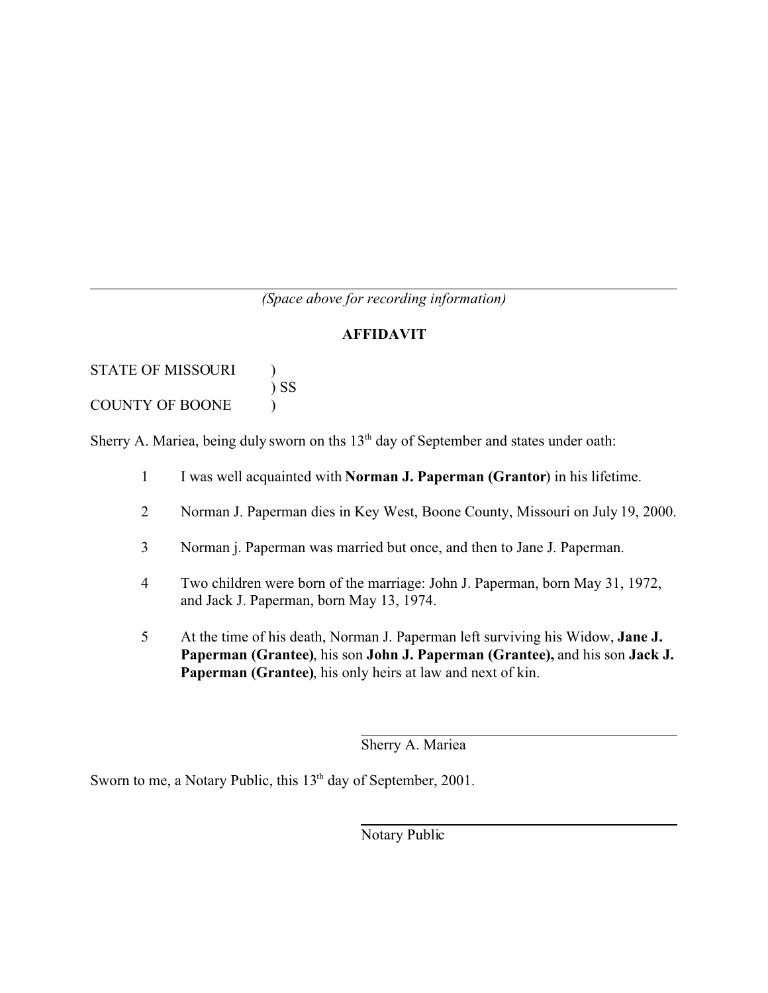## *(Space above for recording information)*

### **AFFIDAVIT**

<span id="page-1-0"></span>STATE OF MISSOURI ) ) SS COUNTY OF BOONE )

Sherry A. Mariea, being duly sworn on ths 13<sup>th</sup> day of September and states under oath:

- 1 I was well acquainted with **Norman J. Paperman (Grantor**) in his lifetime.
- 2 Norman J. Paperman dies in Key West, Boone County, Missouri on July 19, 2000.
- 3 Norman j. Paperman was married but once, and then to Jane J. Paperman.
- 4 Two children were born of the marriage: John J. Paperman, born May 31, 1972, and Jack J. Paperman, born May 13, 1974.
- 5 At the time of his death, Norman J. Paperman left surviving his Widow, **Jane J. Paperman (Grantee)**, his son **John J. Paperman (Grantee),** and his son **Jack J. Paperman (Grantee)**, his only heirs at law and next of kin.

Sherry A. Mariea

Sworn to me, a Notary Public, this 13<sup>th</sup> day of September, 2001.

Notary Public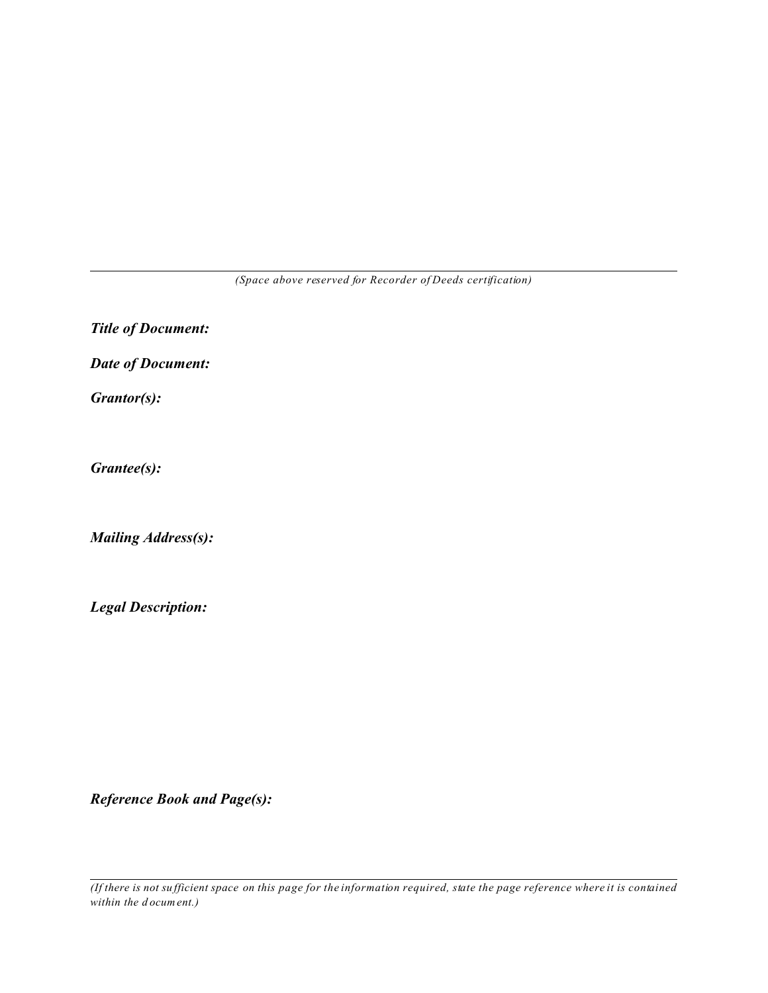*(Space above reserved for Recorder of Deeds certification)*

<span id="page-2-0"></span>*Title of Document:*

*Date of Document:*

*Grantor(s):*

*Grantee(s):*

*Mailing Address(s):*

*Legal Description:*

*Reference Book and Page(s):*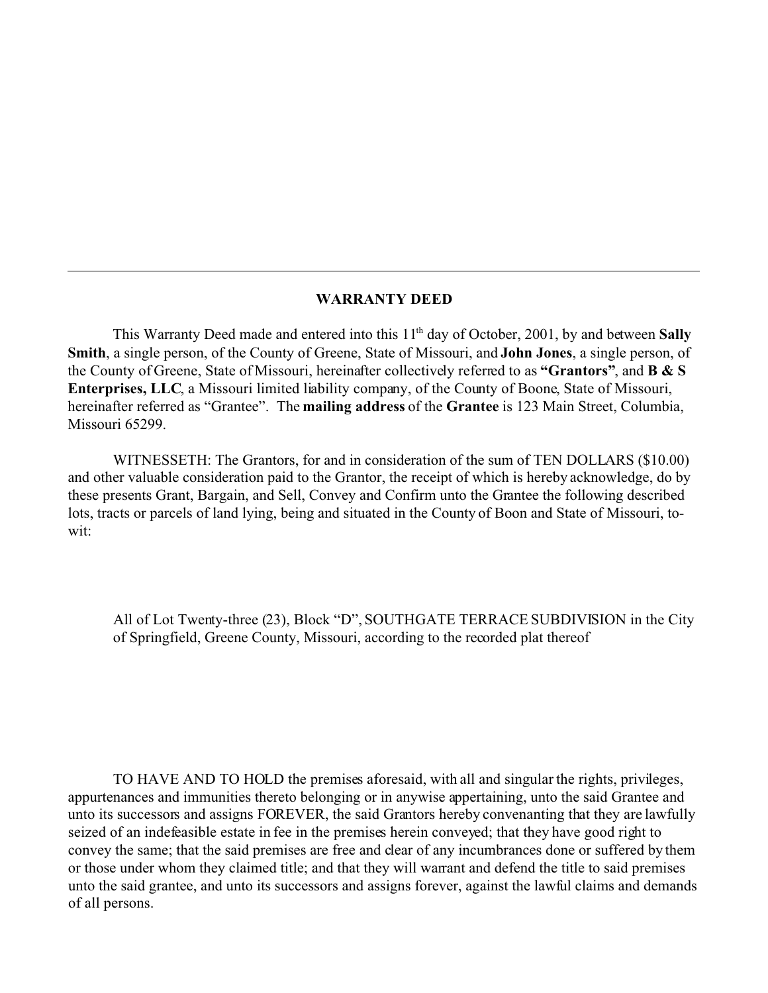#### **WARRANTY DEED**

<span id="page-3-0"></span>This Warranty Deed made and entered into this 11<sup>th</sup> day of October, 2001, by and between **Sally Smith**, a single person, of the County of Greene, State of Missouri, and **John Jones**, a single person, of the County of Greene, State of Missouri, hereinafter collectively referred to as **"Grantors"**, and **B & S Enterprises, LLC**, a Missouri limited liability company, of the County of Boone, State of Missouri, hereinafter referred as "Grantee". The **mailing address** of the **Grantee** is 123 Main Street, Columbia, Missouri 65299.

WITNESSETH: The Grantors, for and in consideration of the sum of TEN DOLLARS (\$10.00) and other valuable consideration paid to the Grantor, the receipt of which is hereby acknowledge, do by these presents Grant, Bargain, and Sell, Convey and Confirm unto the Grantee the following described lots, tracts or parcels of land lying, being and situated in the County of Boon and State of Missouri, towit:

All of Lot Twenty-three (23), Block "D", SOUTHGATE TERRACE SUBDIVISION in the City of Springfield, Greene County, Missouri, according to the recorded plat thereof

TO HAVE AND TO HOLD the premises aforesaid, with all and singular the rights, privileges, appurtenances and immunities thereto belonging or in anywise appertaining, unto the said Grantee and unto its successors and assigns FOREVER, the said Grantors hereby convenanting that they are lawfully seized of an indefeasible estate in fee in the premises herein conveyed; that they have good right to convey the same; that the said premises are free and clear of any incumbrances done or suffered by them or those under whom they claimed title; and that they will warrant and defend the title to said premises unto the said grantee, and unto its successors and assigns forever, against the lawful claims and demands of all persons.